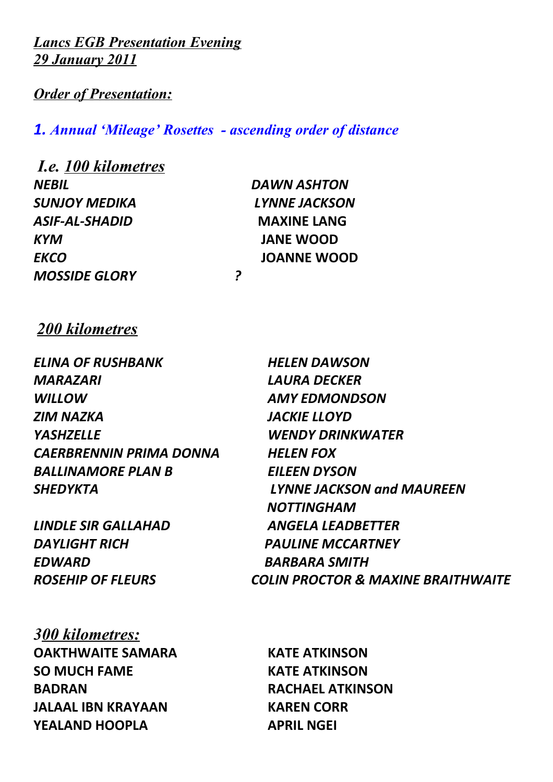*Lancs EGB Presentation Evening 29 January 2011*

*Order of Presentation:*

 *I.e. 100 kilometres*

*1. Annual 'Mileage' Rosettes - ascending order of distance* 

| <b>I.e.</b> 100 kilometres |                    |
|----------------------------|--------------------|
| <b>NEBIL</b>               | <b>DAWN ASHTON</b> |
| <b>SUNJOY MEDIKA</b>       | LYNNE JACKSON      |
| ASIF-AL-SHADID             | <b>MAXINE LANG</b> |
| <b>KYM</b>                 | <b>JANE WOOD</b>   |
| <b>EKCO</b>                | <b>JOANNE WOOD</b> |
| <b>MOSSIDE GLORY</b>       | 2                  |
|                            |                    |

*200 kilometres*

*ELINA OF RUSHBANK HELEN DAWSON MARAZARI LAURA DECKER WILLOW AMY EDMONDSON ZIM NAZKA JACKIE LLOYD YASHZELLE WENDY DRINKWATER CAERBRENNIN PRIMA DONNA HELEN FOX BALLINAMORE PLAN B EILEEN DYSON*

*LINDLE SIR GALLAHAD ANGELA LEADBETTER DAYLIGHT RICH PAULINE MCCARTNEY EDWARD BARBARA SMITH*

*300 kilometres:* **OAKTHWAITE SAMARA KATE ATKINSON SO MUCH FAME KATE ATKINSON BADRAN RACHAEL ATKINSON JALAAL IBN KRAYAAN KAREN CORR YEALAND HOOPLA APRIL NGEI** 

*SHEDYKTA LYNNE JACKSON and MAUREEN NOTTINGHAM ROSEHIP OF FLEURS COLIN PROCTOR & MAXINE BRAITHWAITE*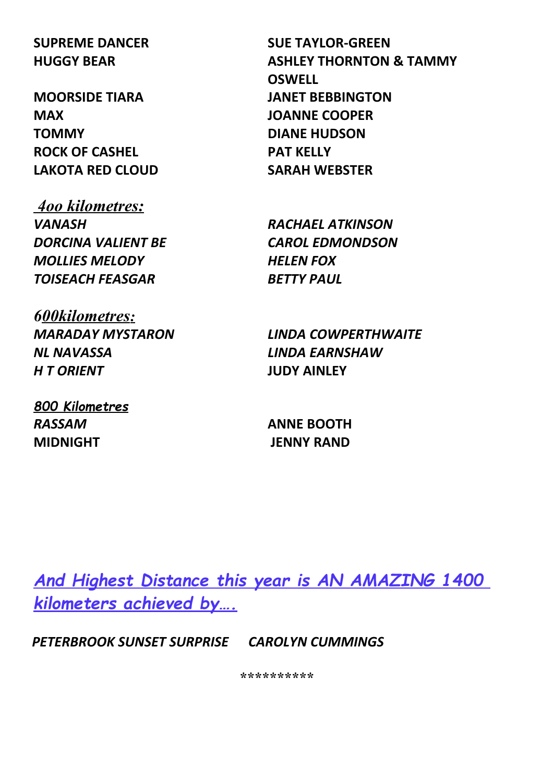**MAX JOANNE COOPER TOMMY DIANE HUDSON ROCK OF CASHEL PAT KELLY LAKOTA RED CLOUD SARAH WEBSTER**

 *4oo kilometres: VANASH RACHAEL ATKINSON DORCINA VALIENT BE CAROL EDMONDSON MOLLIES MELODY HELEN FOX TOISEACH FEASGAR BETTY PAUL*

*6 00kilometres: NL NAVASSA LINDA EARNSHAW H T ORIENT* **JUDY AINLEY**

*800 Kilometres RASSAM* **ANNE BOOTH MIDNIGHT JENNY RAND**

**SUPREME DANCER SUE TAYLOR-GREEN HUGGY BEAR ASHLEY THORNTON & TAMMY OSWELL MOORSIDE TIARA JANET BEBBINGTON**

*MARADAY MYSTARON LINDA COWPERTHWAITE*

*And Highest Distance this year is AN AMAZING 1400 kilometers achieved by….*

*PETERBROOK SUNSET SURPRISE CAROLYN CUMMINGS*

*\*\*\*\*\*\*\*\*\*\**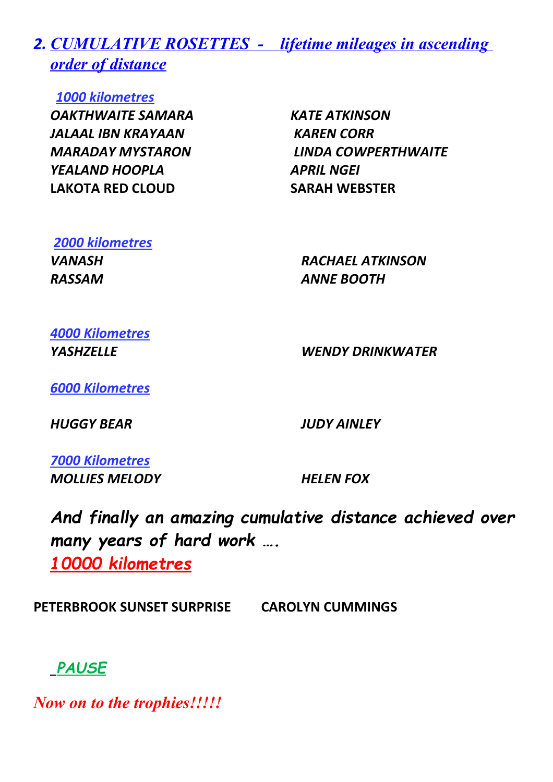*2. CUMULATIVE ROSETTES - lifetime mileages in ascending order of distance*

*1000 kilometres*

*OAKTHWAITE SAMARA KATE ATKINSON JALAAL IBN KRAYAAN KAREN CORR YEALAND HOOPLA APRIL NGEI* **LAKOTA RED CLOUD SARAH WEBSTER**

*MARADAY MYSTARON LINDA COWPERTHWAITE*

# *2000 kilometres RASSAM ANNE BOOTH*

*VANASH RACHAEL ATKINSON*

*4000 Kilometres*

*YASHZELLE WENDY DRINKWATER*

*6000 Kilometres*

*HUGGY BEAR JUDY AINLEY*

*7000 Kilometres MOLLIES MELODY HELEN FOX*

*And finally an amazing cumulative distance achieved over many years of hard work …. 10000 kilometres*

**PETERBROOK SUNSET SURPRISE CAROLYN CUMMINGS**

### *PAUSE*

*Now on to the trophies!!!!!*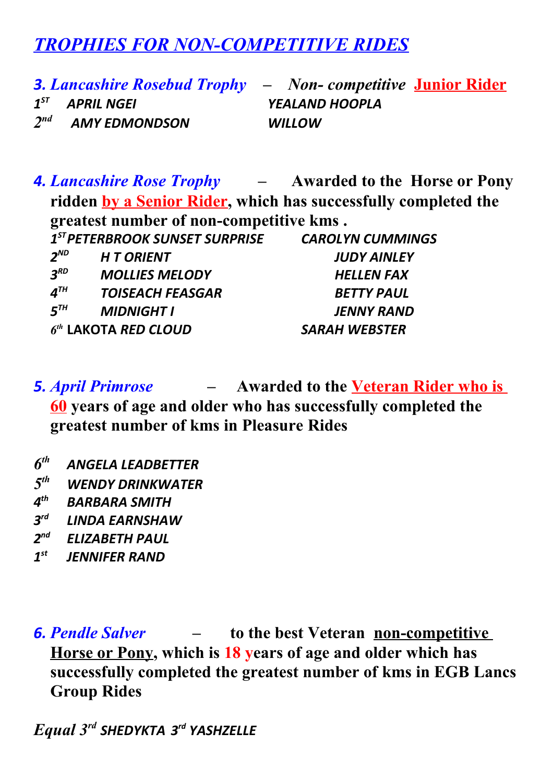## *TROPHIES FOR NON-COMPETITIVE RIDES*

 $1^{57}$ *ST APRIL NGEI YEALAND HOOPLA*  $2<sup>nd</sup>$ *nd AMY EDMONDSON WILLOW*

*3. Lancashire Rosebud Trophy – Non- competitive* **Junior Rider**

*4. Lancashire Rose Trophy –* **Awarded to the Horse or Pony ridden by a Senior Rider, which has successfully completed the greatest number of non-competitive kms .**

|                                | $1ST PETERBROOK SUNSET SURPRISE$ | <b>CAROLYN CUMMINGS</b> |
|--------------------------------|----------------------------------|-------------------------|
| $2^{ND}$                       | <b>HT ORIENT</b>                 | <b>JUDY AINLEY</b>      |
| $3^{RD}$                       | <b>MOLLIES MELODY</b>            | <b>HELLEN FAX</b>       |
| $\boldsymbol{4}^{\textsf{TH}}$ | <b>TOISEACH FEASGAR</b>          | <b>BETTY PAUL</b>       |
| $5^{th}$                       | <b>MIDNIGHT I</b>                | <b>JENNY RAND</b>       |
|                                | $6th$ LAKOTA RED CLOUD           | <b>SARAH WEBSTER</b>    |

*5. April Primrose –* **Awarded to the Veteran Rider who is 60 years of age and older who has successfully completed the greatest number of kms in Pleasure Rides**

- *6 th ANGELA LEADBETTER*
- *5 th WENDY DRINKWATER*
- *4 th BARBARA SMITH*
- *3 rd LINDA EARNSHAW*
- *2 nd ELIZABETH PAUL*
- $1^{st}$ *st JENNIFER RAND*

*6. Pendle Salver –* **to the best Veteran non-competitive Horse or Pony, which is 18 years of age and older which has successfully completed the greatest number of kms in EGB Lancs Group Rides**

*Equal 3rd SHEDYKTA 3rd YASHZELLE*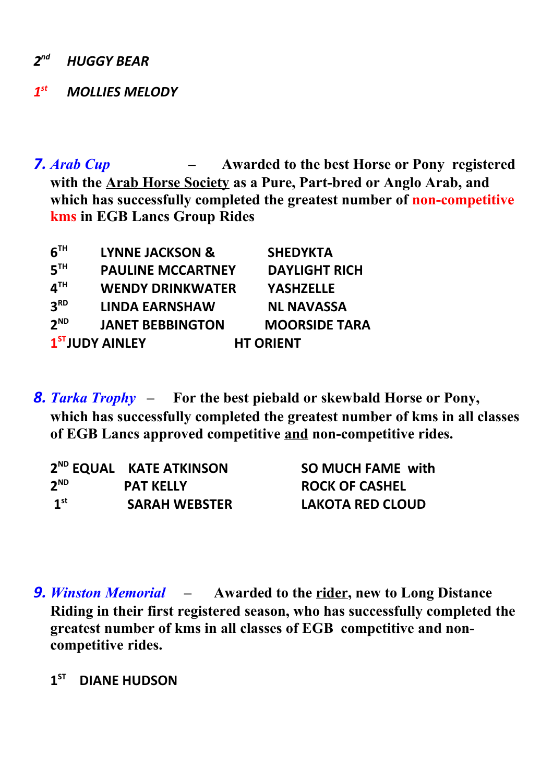*2 nd HUGGY BEAR*

#### *1 st MOLLIES MELODY*

*7. Arab Cup –* **Awarded to the best Horse or Pony registered with the Arab Horse Society as a Pure, Part-bred or Anglo Arab, and which has successfully completed the greatest number of non-competitive kms in EGB Lancs Group Rides**

| $6^{\texttt{th}}$          | <b>LYNNE JACKSON &amp;</b>  | <b>SHEDYKTA</b>      |
|----------------------------|-----------------------------|----------------------|
| $5^{\texttt{th}}$          | <b>PAULINE MCCARTNEY</b>    | <b>DAYLIGHT RICH</b> |
| $\mathbf{4}^{\mathsf{TH}}$ | <b>WENDY DRINKWATER</b>     | <b>YASHZELLE</b>     |
| 3 <sup>RD</sup>            | <b>LINDA EARNSHAW</b>       | <b>NL NAVASSA</b>    |
| $2^{ND}$                   | <b>JANET BEBBINGTON</b>     | <b>MOORSIDE TARA</b> |
|                            | 1 <sup>ST</sup> JUDY AINLEY | <b>HT ORIENT</b>     |

*8. Tarka Trophy –* **For the best piebald or skewbald Horse or Pony, which has successfully completed the greatest number of kms in all classes of EGB Lancs approved competitive and non-competitive rides.**

|                 | 2 <sup>ND</sup> EQUAL KATE ATKINSON | <b>SO MUCH FAME with</b> |
|-----------------|-------------------------------------|--------------------------|
| $2^{\text{ND}}$ | <b>PAT KELLY</b>                    | <b>ROCK OF CASHEL</b>    |
| 1 <sup>st</sup> | <b>SARAH WEBSTER</b>                | LAKOTA RED CLOUD         |

- *9. Winston Memorial* **Awarded to the rider, new to Long Distance Riding in their first registered season, who has successfully completed the greatest number of kms in all classes of EGB competitive and noncompetitive rides.** 
	- **1**<sup>ST</sup> **DIANE HUDSON**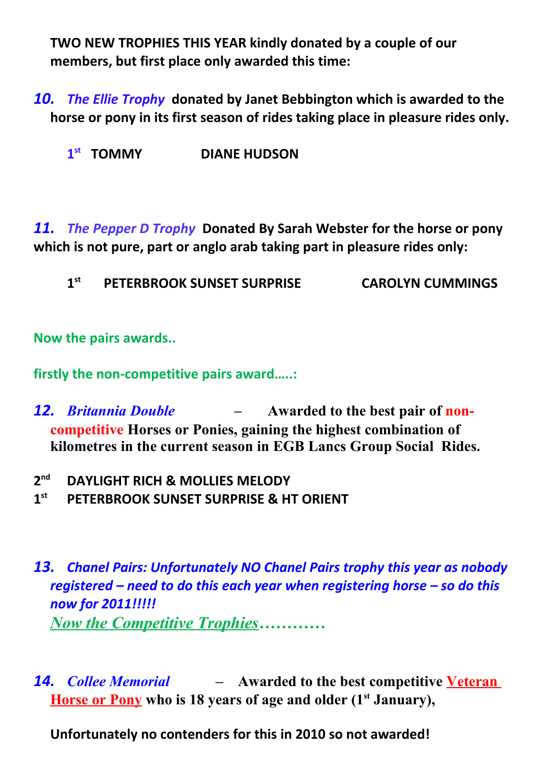**TWO NEW TROPHIES THIS YEAR kindly donated by a couple of our members, but first place only awarded this time:** 

*10. The Ellie Trophy* **donated by Janet Bebbington which is awarded to the horse or pony in its first season of rides taking place in pleasure rides only.**

**1 st** *DIANE HUDSON* 

*11. The Pepper D Trophy* **Donated By Sarah Webster for the horse or pony which is not pure, part or anglo arab taking part in pleasure rides only:**

**1 st PETERBROOK SUNSET SURPRISE CAROLYN CUMMINGS**

**Now the pairs awards..**

**firstly the non-competitive pairs award…..:**

- *12. Britannia Double* **Awarded to the best pair of noncompetitive Horses or Ponies, gaining the highest combination of kilometres in the current season in EGB Lancs Group Social Rides.**
- **2 nd DAYLIGHT RICH & MOLLIES MELODY**
- **1 st PETERBROOK SUNSET SURPRISE & HT ORIENT**
- *13. Chanel Pairs: Unfortunately NO Chanel Pairs trophy this year as nobody registered – need to do this each year when registering horse – so do this now for 2011!!!!! Now the Competitive Trophies…………*
- *14. Collee Memorial* **Awarded to the best competitive Veteran Horse or Pony who is 18 years of age and older (1st January),**

**Unfortunately no contenders for this in 2010 so not awarded!**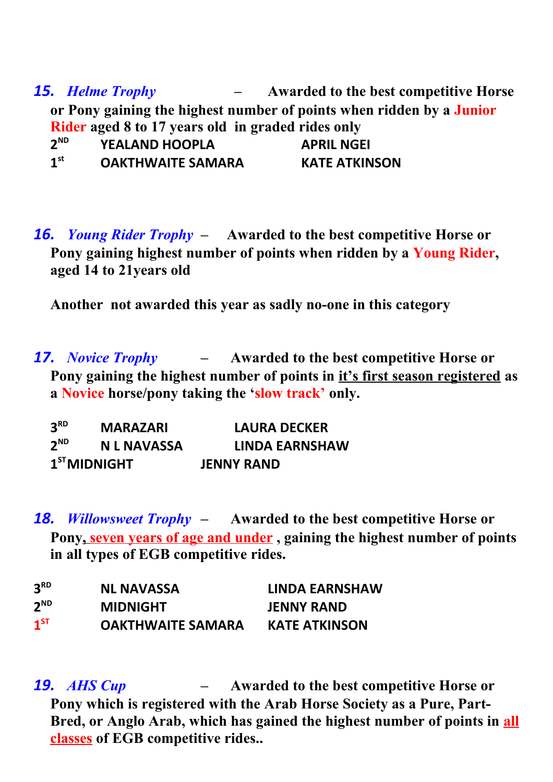*15. Helme Trophy –* **Awarded to the best competitive Horse or Pony gaining the highest number of points when ridden by a Junior Rider aged 8 to 17 years old in graded rides only**  $2^{ND}$ **ND YEALAND HOOPLA APRIL NGEI 1 st OAKTHWAITE SAMARA KATE ATKINSON**

*16. Young Rider Trophy –* **Awarded to the best competitive Horse or Pony gaining highest number of points when ridden by a Young Rider, aged 14 to 21years old** 

**Another not awarded this year as sadly no-one in this category**

*17. Novice Trophy –* **Awarded to the best competitive Horse or Pony gaining the highest number of points in it's first season registered as a Novice horse/pony taking the 'slow track' only.**

| 3 <sup>RD</sup> | <b>MARAZARI</b>    | <b>LAURA DECKER</b>   |
|-----------------|--------------------|-----------------------|
| $2^{ND}$        | <b>N L NAVASSA</b> | <b>LINDA EARNSHAW</b> |
|                 | $1ST$ MIDNIGHT     | <b>JENNY RAND</b>     |

*18. Willowsweet Trophy –* **Awarded to the best competitive Horse or**  Pony, seven years of age and under, gaining the highest number of points **in all types of EGB competitive rides.** 

| 3 <sup>RD</sup> | <b>NL NAVASSA</b>        | <b>LINDA EARNSHAW</b> |
|-----------------|--------------------------|-----------------------|
| $2^{\text{ND}}$ | <b>MIDNIGHT</b>          | <b>JENNY RAND</b>     |
| $1^{ST}$        | <b>OAKTHWAITE SAMARA</b> | <b>KATE ATKINSON</b>  |

*19. AHS Cup –* **Awarded to the best competitive Horse or Pony which is registered with the Arab Horse Society as a Pure, Part-Bred, or Anglo Arab, which has gained the highest number of points in all classes of EGB competitive rides..**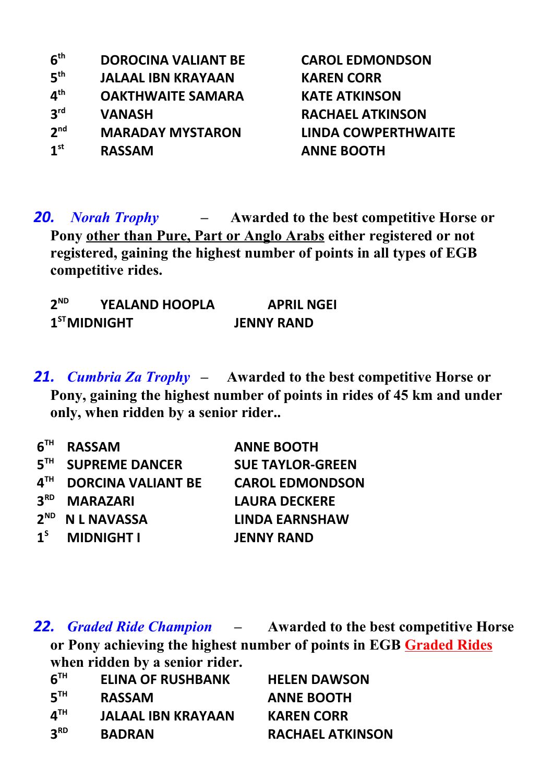| 6 <sup>th</sup> | <b>DOROCINA VALIANT BE</b> |
|-----------------|----------------------------|
| 5 <sup>th</sup> | <b>JALAAL IBN KRAYAAN</b>  |
| 4 <sup>th</sup> | <b>OAKTHWAITE SAMARA</b>   |
| 3 <sup>rd</sup> | <b>VANASH</b>              |
| 2 <sup>nd</sup> | <b>MARADAY MYSTARON</b>    |
| 1 <sup>st</sup> | <b>RASSAM</b>              |

**CAROL EDMONDSON KAREN CORR KATE ATKINSON RACHAEL ATKINSON 2nd MARADAY MYSTARON LINDA COWPERTHWAITE st RASSAM ANNE BOOTH**

*20. Norah Trophy –* **Awarded to the best competitive Horse or Pony other than Pure, Part or Anglo Arabs either registered or not registered, gaining the highest number of points in all types of EGB competitive rides.** 

| $2^{ND}$ | <b>YEALAND HOOPLA</b> | <b>APRIL NGEI</b> |
|----------|-----------------------|-------------------|
|          | $1ST$ MIDNIGHT        | <b>JENNY RAND</b> |

*21. Cumbria Za Trophy –* **Awarded to the best competitive Horse or Pony, gaining the highest number of points in rides of 45 km and under only, when ridden by a senior rider..**

| 6 <sup>TH</sup> | <b>RASSAM</b>             | <b>ANNE BOOTH</b>       |
|-----------------|---------------------------|-------------------------|
| 5 <sup>TH</sup> | <b>SUPREME DANCER</b>     | <b>SUE TAYLOR-GREEN</b> |
| $4^{\text{TH}}$ | <b>DORCINA VALIANT BE</b> | <b>CAROL EDMONDSON</b>  |
| 3 <sup>RD</sup> | <b>MARAZARI</b>           | <b>LAURA DECKERE</b>    |
| $2^{ND}$        | <b>N L NAVASSA</b>        | <b>LINDA EARNSHAW</b>   |
| 1 <sup>s</sup>  | <b>MIDNIGHT I</b>         | <b>JENNY RAND</b>       |

*22. Graded Ride Champion –* **Awarded to the best competitive Horse or Pony achieving the highest number of points in EGB Graded Rides when ridden by a senior rider.** 

| 6 <sup>TH</sup>            | <b>ELINA OF RUSHBANK</b>  | <b>HELEN DAWSON</b>     |
|----------------------------|---------------------------|-------------------------|
| 5 <sup>TH</sup>            | <b>RASSAM</b>             | <b>ANNE BOOTH</b>       |
| $\mathbf{A}^{\mathsf{TH}}$ | <b>JALAAL IBN KRAYAAN</b> | <b>KAREN CORR</b>       |
| 3 <sup>RD</sup>            | <b>BADRAN</b>             | <b>RACHAEL ATKINSON</b> |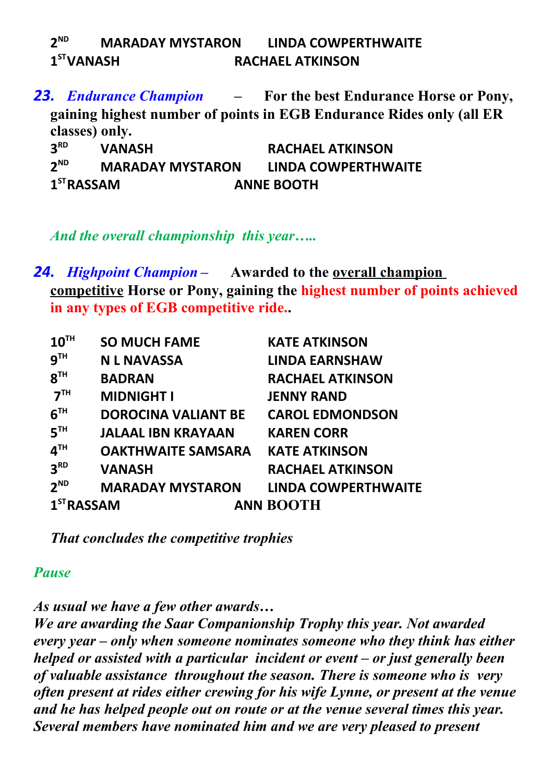| $2^{ND}$               | <b>MARADAY MYSTARON</b> |                         | LINDA COWPERTHWAITE |
|------------------------|-------------------------|-------------------------|---------------------|
| 1 <sup>ST</sup> VANASH |                         | <b>RACHAEL ATKINSON</b> |                     |

*23. Endurance Champion –* **For the best Endurance Horse or Pony, gaining highest number of points in EGB Endurance Rides only (all ER classes) only. 3 RD VANASH RACHAEL ATKINSON**

 $2^{ND}$ **ND MARADAY MYSTARON LINDA COWPERTHWAITE** 1<sup>ST</sup>RASSAM **STRASSAM ANNE BOOTH**

*And the overall championship this year…..*

*24. Highpoint Champion –* **Awarded to the overall champion competitive Horse or Pony, gaining the highest number of points achieved in any types of EGB competitive ride..**

| 10 <sup>TH</sup>       | <b>SO MUCH FAME</b>        | <b>KATE ATKINSON</b>       |
|------------------------|----------------------------|----------------------------|
| 9 <sup>TH</sup>        | <b>N L NAVASSA</b>         | <b>LINDA EARNSHAW</b>      |
| 8 <sup>TH</sup>        | <b>BADRAN</b>              | <b>RACHAEL ATKINSON</b>    |
| 7 <sup>TH</sup>        | <b>MIDNIGHT I</b>          | <b>JENNY RAND</b>          |
| 6 <sup>TH</sup>        | <b>DOROCINA VALIANT BE</b> | <b>CAROL EDMONDSON</b>     |
| 5 <sup>TH</sup>        | <b>JALAAL IBN KRAYAAN</b>  | <b>KAREN CORR</b>          |
| 4 <sup>TH</sup>        | <b>OAKTHWAITE SAMSARA</b>  | <b>KATE ATKINSON</b>       |
| 3 <sup>RD</sup>        | <b>VANASH</b>              | <b>RACHAEL ATKINSON</b>    |
| 2 <sup>ND</sup>        | <b>MARADAY MYSTARON</b>    | <b>LINDA COWPERTHWAITE</b> |
| 1 <sup>ST</sup> RASSAM |                            | <b>ANN BOOTH</b>           |

*That concludes the competitive trophies* 

#### *Pause*

*As usual we have a few other awards…*

*We are awarding the Saar Companionship Trophy this year. Not awarded every year – only when someone nominates someone who they think has either helped or assisted with a particular incident or event – or just generally been of valuable assistance throughout the season. There is someone who is very often present at rides either crewing for his wife Lynne, or present at the venue and he has helped people out on route or at the venue several times this year. Several members have nominated him and we are very pleased to present*